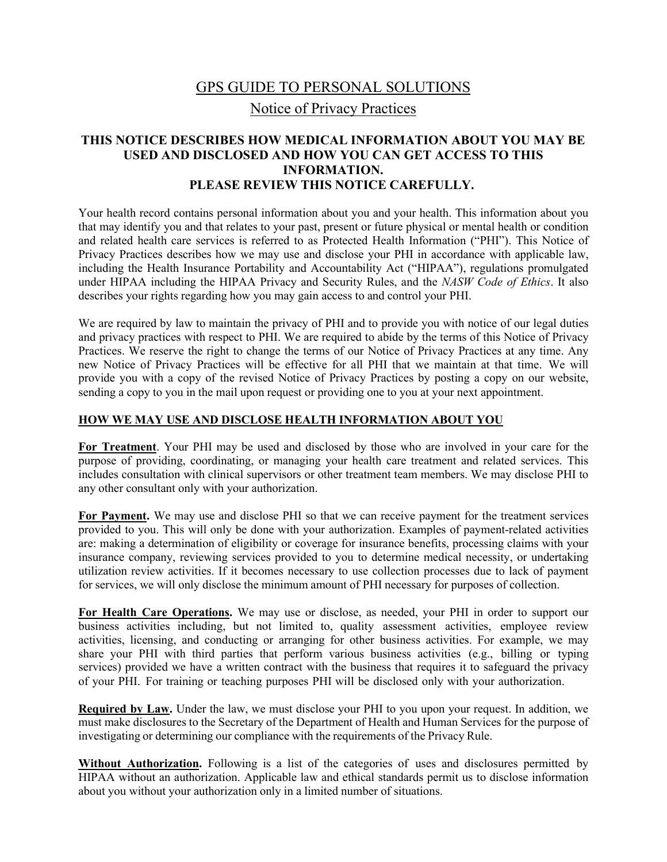# GPS GUIDE TO PERSONAL SOLUTIONS Notice of Privacy Practices

## **THIS NOTICE DESCRIBES HOW MEDICAL INFORMATION ABOUT YOU MAY BE USED AND DISCLOSED AND HOW YOU CAN GET ACCESS TO THIS INFORMATION. PLEASE REVIEW THIS NOTICE CAREFULLY.**

Your health record contains personal information about you and your health. This information about you that may identify you and that relates to your past, present or future physical or mental health or condition and related health care services is referred to as Protected Health Information ("PHI"). This Notice of Privacy Practices describes how we may use and disclose your PHI in accordance with applicable law, including the Health Insurance Portability and Accountability Act ("HIPAA"), regulations promulgated under HIPAA including the HIPAA Privacy and Security Rules, and the *NASW Code of Ethics*. It also describes your rights regarding how you may gain access to and control your PHI.

We are required by law to maintain the privacy of PHI and to provide you with notice of our legal duties and privacy practices with respect to PHI. We are required to abide by the terms of this Notice of Privacy Practices. We reserve the right to change the terms of our Notice of Privacy Practices at any time. Any new Notice of Privacy Practices will be effective for all PHI that we maintain at that time. We will provide you with a copy of the revised Notice of Privacy Practices by posting a copy on our website, sending a copy to you in the mail upon request or providing one to you at your next appointment.

#### **HOW WE MAY USE AND DISCLOSE HEALTH INFORMATION ABOUT YOU**

**For Treatment**. Your PHI may be used and disclosed by those who are involved in your care for the purpose of providing, coordinating, or managing your health care treatment and related services. This includes consultation with clinical supervisors or other treatment team members. We may disclose PHI to any other consultant only with your authorization.

**For Payment.** We may use and disclose PHI so that we can receive payment for the treatment services provided to you. This will only be done with your authorization. Examples of payment-related activities are: making a determination of eligibility or coverage for insurance benefits, processing claims with your insurance company, reviewing services provided to you to determine medical necessity, or undertaking utilization review activities. If it becomes necessary to use collection processes due to lack of payment for services, we will only disclose the minimum amount of PHI necessary for purposes of collection.

**For Health Care Operations.** We may use or disclose, as needed, your PHI in order to support our business activities including, but not limited to, quality assessment activities, employee review activities, licensing, and conducting or arranging for other business activities. For example, we may share your PHI with third parties that perform various business activities (e.g., billing or typing services) provided we have a written contract with the business that requires it to safeguard the privacy of your PHI. For training or teaching purposes PHI will be disclosed only with your authorization.

**Required by Law.** Under the law, we must disclose your PHI to you upon your request. In addition, we must make disclosures to the Secretary of the Department of Health and Human Services for the purpose of investigating or determining our compliance with the requirements of the Privacy Rule.

**Without Authorization.** Following is a list of the categories of uses and disclosures permitted by HIPAA without an authorization. Applicable law and ethical standards permit us to disclose information about you without your authorization only in a limited number of situations.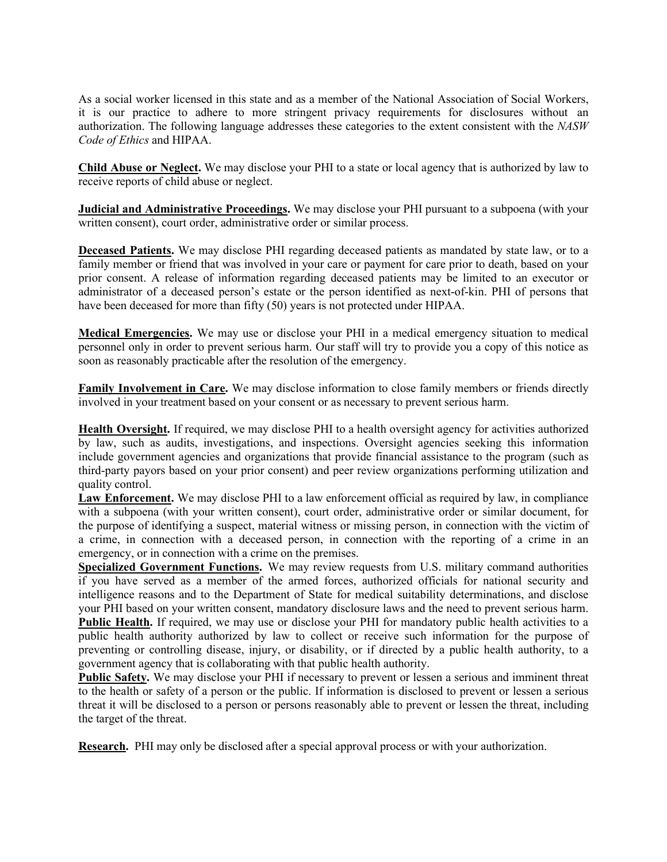As a social worker licensed in this state and as a member of the National Association of Social Workers, it is our practice to adhere to more stringent privacy requirements for disclosures without an authorization. The following language addresses these categories to the extent consistent with the *NASW Code of Ethics* and HIPAA.

**Child Abuse or Neglect.** We may disclose your PHI to a state or local agency that is authorized by law to receive reports of child abuse or neglect.

**Judicial and Administrative Proceedings.** We may disclose your PHI pursuant to a subpoena (with your written consent), court order, administrative order or similar process.

**Deceased Patients.** We may disclose PHI regarding deceased patients as mandated by state law, or to a family member or friend that was involved in your care or payment for care prior to death, based on your prior consent. A release of information regarding deceased patients may be limited to an executor or administrator of a deceased person's estate or the person identified as next-of-kin. PHI of persons that have been deceased for more than fifty (50) years is not protected under HIPAA.

**Medical Emergencies.** We may use or disclose your PHI in a medical emergency situation to medical personnel only in order to prevent serious harm. Our staff will try to provide you a copy of this notice as soon as reasonably practicable after the resolution of the emergency.

**Family Involvement in Care.** We may disclose information to close family members or friends directly involved in your treatment based on your consent or as necessary to prevent serious harm.

**Health Oversight.** If required, we may disclose PHI to a health oversight agency for activities authorized by law, such as audits, investigations, and inspections. Oversight agencies seeking this information include government agencies and organizations that provide financial assistance to the program (such as third-party payors based on your prior consent) and peer review organizations performing utilization and quality control.

**Law Enforcement.** We may disclose PHI to a law enforcement official as required by law, in compliance with a subpoena (with your written consent), court order, administrative order or similar document, for the purpose of identifying a suspect, material witness or missing person, in connection with the victim of a crime, in connection with a deceased person, in connection with the reporting of a crime in an emergency, or in connection with a crime on the premises.

**Specialized Government Functions.** We may review requests from U.S. military command authorities if you have served as a member of the armed forces, authorized officials for national security and intelligence reasons and to the Department of State for medical suitability determinations, and disclose your PHI based on your written consent, mandatory disclosure laws and the need to prevent serious harm. Public Health. If required, we may use or disclose your PHI for mandatory public health activities to a public health authority authorized by law to collect or receive such information for the purpose of preventing or controlling disease, injury, or disability, or if directed by a public health authority, to a government agency that is collaborating with that public health authority.

**Public Safety.** We may disclose your PHI if necessary to prevent or lessen a serious and imminent threat to the health or safety of a person or the public. If information is disclosed to prevent or lessen a serious threat it will be disclosed to a person or persons reasonably able to prevent or lessen the threat, including the target of the threat.

**Research.** PHI may only be disclosed after a special approval process or with your authorization.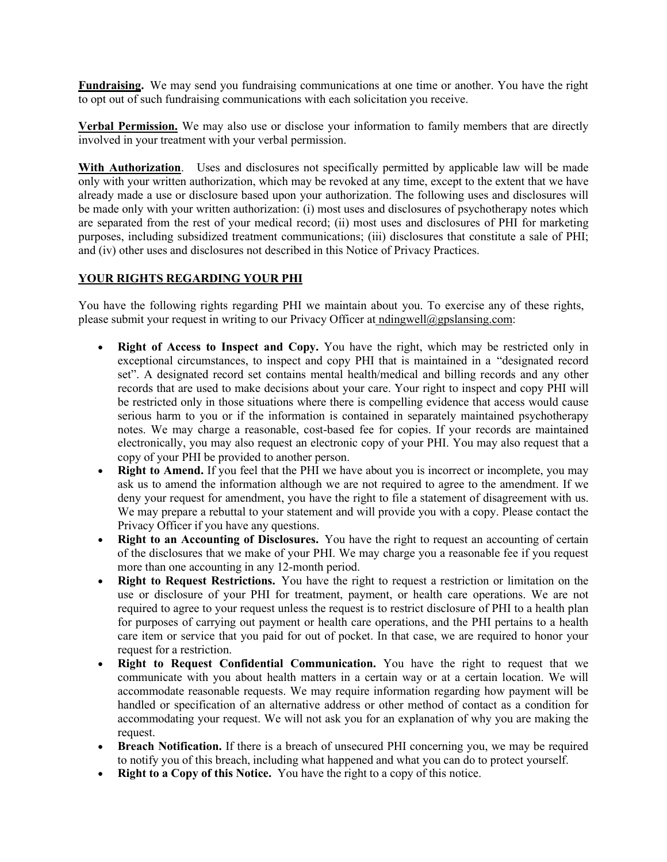**Fundraising.** We may send you fundraising communications at one time or another. You have the right to opt out of such fundraising communications with each solicitation you receive.

**Verbal Permission.** We may also use or disclose your information to family members that are directly involved in your treatment with your verbal permission.

With Authorization. Uses and disclosures not specifically permitted by applicable law will be made only with your written authorization, which may be revoked at any time, except to the extent that we have already made a use or disclosure based upon your authorization. The following uses and disclosures will be made only with your written authorization: (i) most uses and disclosures of psychotherapy notes which are separated from the rest of your medical record; (ii) most uses and disclosures of PHI for marketing purposes, including subsidized treatment communications; (iii) disclosures that constitute a sale of PHI; and (iv) other uses and disclosures not described in this Notice of Privacy Practices.

## **YOUR RIGHTS REGARDING YOUR PHI**

You have the following rights regarding PHI we maintain about you. To exercise any of these rights, please submit your request in writing to our Privacy Officer at ndingwell@gpslansing.com:

- **Right of Access to Inspect and Copy.** You have the right, which may be restricted only in exceptional circumstances, to inspect and copy PHI that is maintained in a "designated record set". A designated record set contains mental health/medical and billing records and any other records that are used to make decisions about your care. Your right to inspect and copy PHI will be restricted only in those situations where there is compelling evidence that access would cause serious harm to you or if the information is contained in separately maintained psychotherapy notes. We may charge a reasonable, cost-based fee for copies. If your records are maintained electronically, you may also request an electronic copy of your PHI. You may also request that a copy of your PHI be provided to another person.
- **Right to Amend.** If you feel that the PHI we have about you is incorrect or incomplete, you may ask us to amend the information although we are not required to agree to the amendment. If we deny your request for amendment, you have the right to file a statement of disagreement with us. We may prepare a rebuttal to your statement and will provide you with a copy. Please contact the Privacy Officer if you have any questions.
- **Right to an Accounting of Disclosures.** You have the right to request an accounting of certain of the disclosures that we make of your PHI. We may charge you a reasonable fee if you request more than one accounting in any 12-month period.
- **Right to Request Restrictions.** You have the right to request a restriction or limitation on the use or disclosure of your PHI for treatment, payment, or health care operations. We are not required to agree to your request unless the request is to restrict disclosure of PHI to a health plan for purposes of carrying out payment or health care operations, and the PHI pertains to a health care item or service that you paid for out of pocket. In that case, we are required to honor your request for a restriction.
- **Right to Request Confidential Communication.** You have the right to request that we communicate with you about health matters in a certain way or at a certain location. We will accommodate reasonable requests. We may require information regarding how payment will be handled or specification of an alternative address or other method of contact as a condition for accommodating your request. We will not ask you for an explanation of why you are making the request.
- **Breach Notification.** If there is a breach of unsecured PHI concerning you, we may be required to notify you of this breach, including what happened and what you can do to protect yourself.
- **Right to a Copy of this Notice.** You have the right to a copy of this notice.